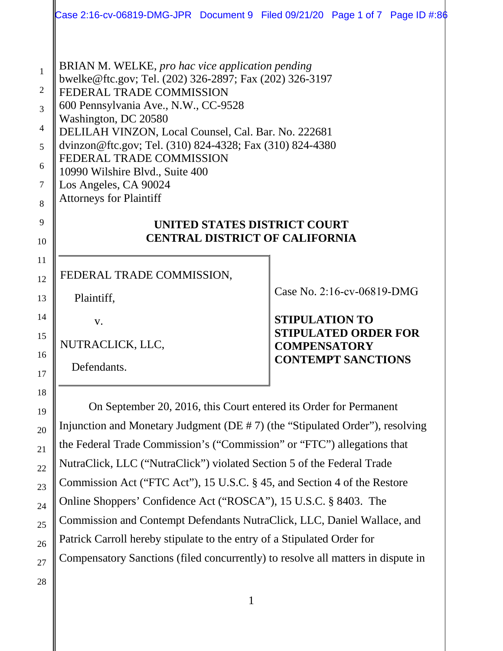| Case 2:16-cv-06819-DMG-JPR Document 9 Filed 09/21/20 Page 1 of 7 Page ID #:8 $\phi$                                                                                                                                                                                                                                                                                                                                                                                                                                                                                                                           |                                                                                                                                        |  |
|---------------------------------------------------------------------------------------------------------------------------------------------------------------------------------------------------------------------------------------------------------------------------------------------------------------------------------------------------------------------------------------------------------------------------------------------------------------------------------------------------------------------------------------------------------------------------------------------------------------|----------------------------------------------------------------------------------------------------------------------------------------|--|
| BRIAN M. WELKE, pro hac vice application pending<br>bwelke@ftc.gov; Tel. (202) 326-2897; Fax (202) 326-3197<br>FEDERAL TRADE COMMISSION<br>600 Pennsylvania Ave., N.W., CC-9528<br>Washington, DC 20580<br>DELILAH VINZON, Local Counsel, Cal. Bar. No. 222681<br>dvinzon@ftc.gov; Tel. (310) 824-4328; Fax (310) 824-4380<br>FEDERAL TRADE COMMISSION<br>10990 Wilshire Blvd., Suite 400<br>Los Angeles, CA 90024<br><b>Attorneys for Plaintiff</b><br>UNITED STATES DISTRICT COURT<br><b>CENTRAL DISTRICT OF CALIFORNIA</b>                                                                                 |                                                                                                                                        |  |
| FEDERAL TRADE COMMISSION,<br>Plaintiff,<br>V.<br>NUTRACLICK, LLC,<br>Defendants.                                                                                                                                                                                                                                                                                                                                                                                                                                                                                                                              | Case No. 2:16-cv-06819-DMG<br><b>STIPULATION TO</b><br><b>STIPULATED ORDER FOR</b><br><b>COMPENSATORY</b><br><b>CONTEMPT SANCTIONS</b> |  |
| On September 20, 2016, this Court entered its Order for Permanent<br>Injunction and Monetary Judgment (DE # 7) (the "Stipulated Order"), resolving<br>the Federal Trade Commission's ("Commission" or "FTC") allegations that<br>NutraClick, LLC ("NutraClick") violated Section 5 of the Federal Trade<br>Commission Act ("FTC Act"), 15 U.S.C. § 45, and Section 4 of the Restore<br>Online Shoppers' Confidence Act ("ROSCA"), 15 U.S.C. § 8403. The<br>Commission and Contempt Defendants NutraClick, LLC, Daniel Wallace, and<br>Patrick Carroll hereby stipulate to the entry of a Stipulated Order for |                                                                                                                                        |  |

Compensatory Sanctions (filed concurrently) to resolve all matters in dispute in

1

2

3

4

5

6

7

8

9

10

11

12

13

14

15

16

17

18

19

20

21

22

23

24

25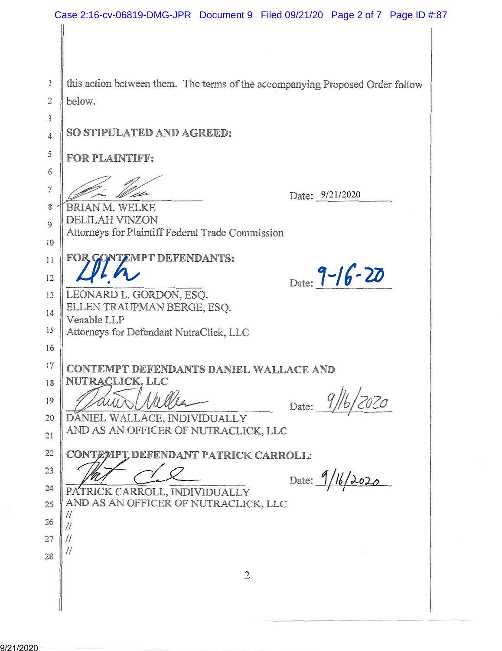this action between them. The terms of the accompanying Proposed Order follow 1  $\overline{2}$ below. 3 SO STIPULATED AND AGREED:  $\overline{4}$ 5 **FOR PLAINTIFF:** 6  $\overline{7}$ Date: 9/21/2020 8 **BRIAN M. WELKE** DELILAH VINZON  $\mathbf Q$ Attorneys for Plaintiff Federal Trade Commission 10 **ONTEMPT DEFENDANTS:** FOR C 11 Date:  $9 - 16 - 20$ 12 LEONARD L. GORDON, ESO. 13 ELLEN TRAUPMAN BERGE, ESO. 14 Venable LLP 15 Attorneys for Defendant NutraClick, LLC 16 17 CONTEMPT DEFENDANTS DANIEL WALLACE AND NUTRACLICK, LLC 18 Date: 9/16/2020 19 DANIEL WALLACE, INDIVIDUALLY 20 AND AS AN OFFICER OF NUTRACLICK, LLC 21 22 CONTEMPT DEFENDANT PATRICK CARROLL: 23 Date:  $9/16/2020$ 24 PATRICK CARROLL, INDIVIDUALLY AND AS AN OFFICER OF NUTRACLICK, LLC 25  $\prime\prime$ 26  $\frac{1}{2}$  $\frac{1}{2}$ 27  $\prime\prime$ 28  $\overline{2}$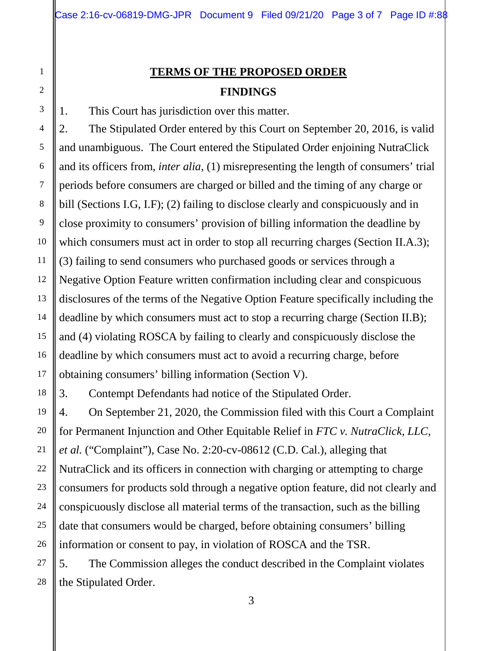# **TERMS OF THE PROPOSED ORDER FINDINGS**

1. This Court has jurisdiction over this matter.

2. The Stipulated Order entered by this Court on September 20, 2016, is valid and unambiguous. The Court entered the Stipulated Order enjoining NutraClick and its officers from, *inter alia*, (1) misrepresenting the length of consumers' trial periods before consumers are charged or billed and the timing of any charge or bill (Sections I.G, I.F); (2) failing to disclose clearly and conspicuously and in close proximity to consumers' provision of billing information the deadline by which consumers must act in order to stop all recurring charges (Section II.A.3); (3) failing to send consumers who purchased goods or services through a Negative Option Feature written confirmation including clear and conspicuous disclosures of the terms of the Negative Option Feature specifically including the deadline by which consumers must act to stop a recurring charge (Section II.B); and (4) violating ROSCA by failing to clearly and conspicuously disclose the deadline by which consumers must act to avoid a recurring charge, before obtaining consumers' billing information (Section V).

3. Contempt Defendants had notice of the Stipulated Order.

4. On September 21, 2020, the Commission filed with this Court a Complaint for Permanent Injunction and Other Equitable Relief in *FTC v. NutraClick, LLC, et al.* ("Complaint"), Case No. 2:20-cv-08612 (C.D. Cal.), alleging that NutraClick and its officers in connection with charging or attempting to charge consumers for products sold through a negative option feature, did not clearly and conspicuously disclose all material terms of the transaction, such as the billing date that consumers would be charged, before obtaining consumers' billing information or consent to pay, in violation of ROSCA and the TSR.

5. The Commission alleges the conduct described in the Complaint violates the Stipulated Order.

1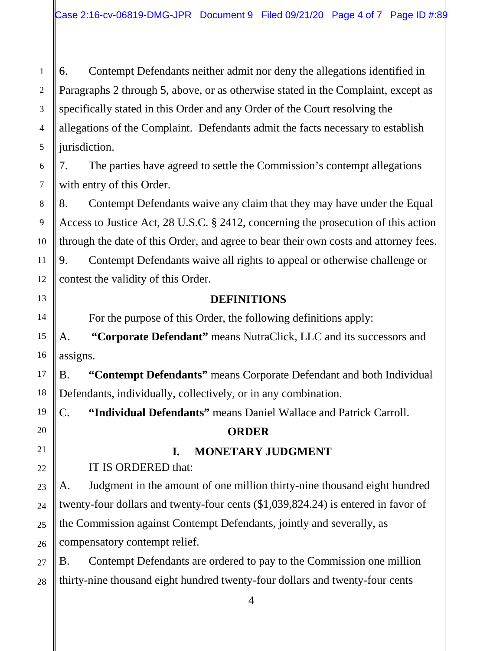1 2 3 4 6. Contempt Defendants neither admit nor deny the allegations identified in Paragraphs 2 through 5, above, or as otherwise stated in the Complaint, except as specifically stated in this Order and any Order of the Court resolving the allegations of the Complaint. Defendants admit the facts necessary to establish jurisdiction.

7. The parties have agreed to settle the Commission's contempt allegations with entry of this Order.

8. Contempt Defendants waive any claim that they may have under the Equal Access to Justice Act, 28 U.S.C. § 2412, concerning the prosecution of this action through the date of this Order, and agree to bear their own costs and attorney fees. 9. Contempt Defendants waive all rights to appeal or otherwise challenge or contest the validity of this Order.

**DEFINITIONS**

For the purpose of this Order, the following definitions apply:

A. **"Corporate Defendant"** means NutraClick, LLC and its successors and assigns.

B. **"Contempt Defendants"** means Corporate Defendant and both Individual Defendants, individually, collectively, or in any combination.

C. **"Individual Defendants"** means Daniel Wallace and Patrick Carroll.

#### **ORDER**

## **I. MONETARY JUDGMENT**

IT IS ORDERED that:

A. Judgment in the amount of one million thirty-nine thousand eight hundred twenty-four dollars and twenty-four cents (\$1,039,824.24) is entered in favor of the Commission against Contempt Defendants, jointly and severally, as compensatory contempt relief.

B. Contempt Defendants are ordered to pay to the Commission one million thirty-nine thousand eight hundred twenty-four dollars and twenty-four cents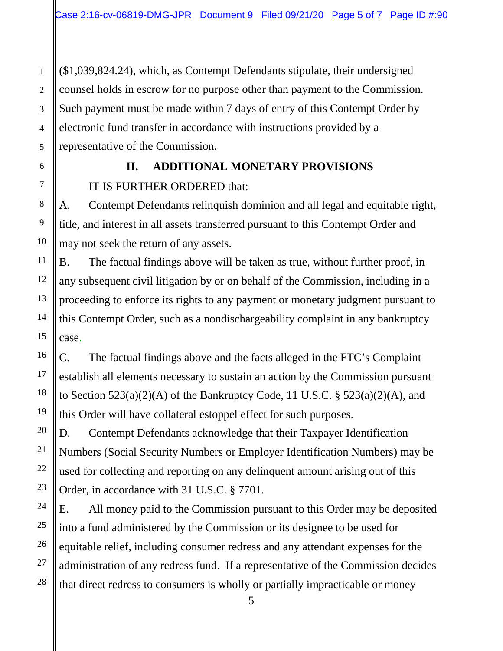(\$1,039,824.24), which, as Contempt Defendants stipulate, their undersigned counsel holds in escrow for no purpose other than payment to the Commission. Such payment must be made within 7 days of entry of this Contempt Order by electronic fund transfer in accordance with instructions provided by a representative of the Commission.

## **II. ADDITIONAL MONETARY PROVISIONS**

IT IS FURTHER ORDERED that:

A. Contempt Defendants relinquish dominion and all legal and equitable right, title, and interest in all assets transferred pursuant to this Contempt Order and may not seek the return of any assets.

B. The factual findings above will be taken as true, without further proof, in any subsequent civil litigation by or on behalf of the Commission, including in a proceeding to enforce its rights to any payment or monetary judgment pursuant to this Contempt Order, such as a nondischargeability complaint in any bankruptcy case.

C. The factual findings above and the facts alleged in the FTC's Complaint establish all elements necessary to sustain an action by the Commission pursuant to Section  $523(a)(2)(A)$  of the Bankruptcy Code, 11 U.S.C. §  $523(a)(2)(A)$ , and this Order will have collateral estoppel effect for such purposes.

D. Contempt Defendants acknowledge that their Taxpayer Identification Numbers (Social Security Numbers or Employer Identification Numbers) may be used for collecting and reporting on any delinquent amount arising out of this Order, in accordance with 31 U.S.C. § 7701.

E. All money paid to the Commission pursuant to this Order may be deposited into a fund administered by the Commission or its designee to be used for equitable relief, including consumer redress and any attendant expenses for the administration of any redress fund. If a representative of the Commission decides that direct redress to consumers is wholly or partially impracticable or money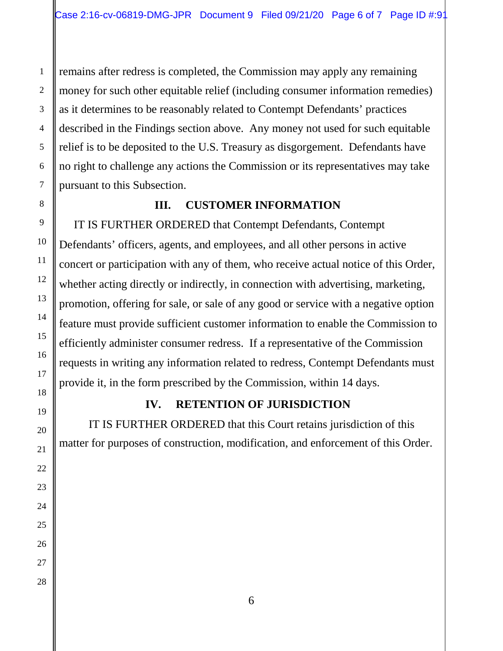remains after redress is completed, the Commission may apply any remaining money for such other equitable relief (including consumer information remedies) as it determines to be reasonably related to Contempt Defendants' practices described in the Findings section above. Any money not used for such equitable relief is to be deposited to the U.S. Treasury as disgorgement. Defendants have no right to challenge any actions the Commission or its representatives may take pursuant to this Subsection.

#### **III. CUSTOMER INFORMATION**

IT IS FURTHER ORDERED that Contempt Defendants, Contempt Defendants' officers, agents, and employees, and all other persons in active concert or participation with any of them, who receive actual notice of this Order, whether acting directly or indirectly, in connection with advertising, marketing, promotion, offering for sale, or sale of any good or service with a negative option feature must provide sufficient customer information to enable the Commission to efficiently administer consumer redress. If a representative of the Commission requests in writing any information related to redress, Contempt Defendants must provide it, in the form prescribed by the Commission, within 14 days.

#### **IV. RETENTION OF JURISDICTION**

IT IS FURTHER ORDERED that this Court retains jurisdiction of this matter for purposes of construction, modification, and enforcement of this Order.